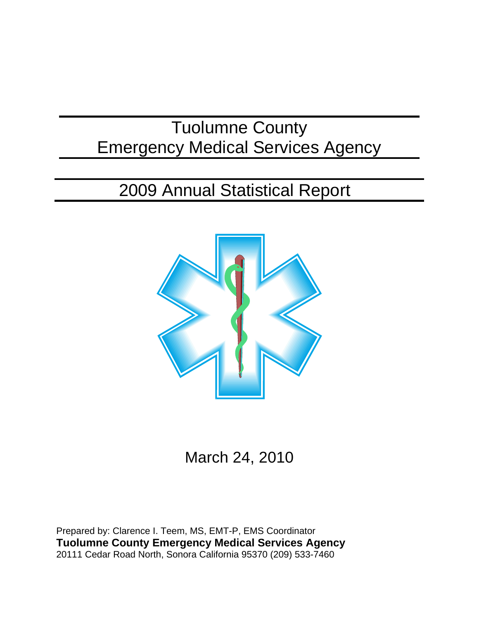# Tuolumne County Emergency Medical Services Agency

# 2009 Annual Statistical Report



March 24, 2010

Prepared by: Clarence I. Teem, MS, EMT-P, EMS Coordinator **Tuolumne County Emergency Medical Services Agency** 20111 Cedar Road North, Sonora California 95370 (209) 533-7460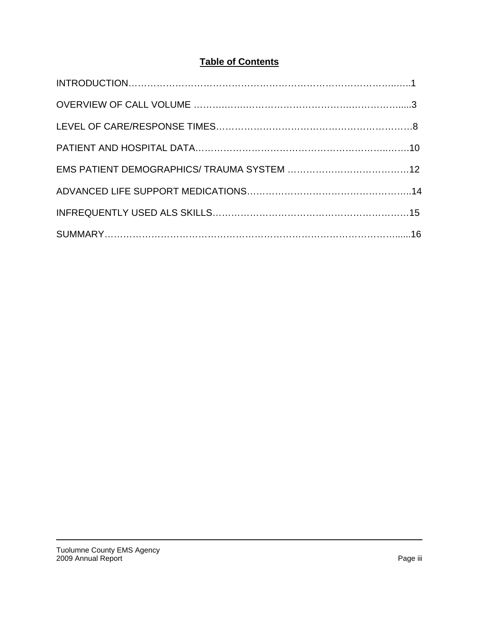# **Table of Contents**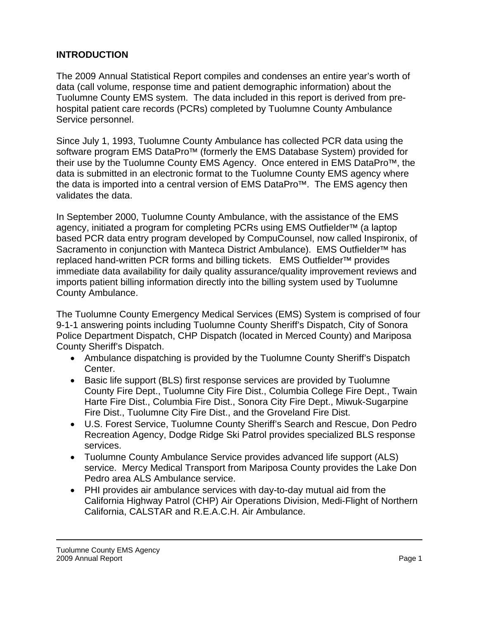## **INTRODUCTION**

The 2009 Annual Statistical Report compiles and condenses an entire year's worth of data (call volume, response time and patient demographic information) about the Tuolumne County EMS system. The data included in this report is derived from prehospital patient care records (PCRs) completed by Tuolumne County Ambulance Service personnel.

Since July 1, 1993, Tuolumne County Ambulance has collected PCR data using the software program EMS DataPro<sup>™</sup> (formerly the EMS Database System) provided for their use by the Tuolumne County EMS Agency. Once entered in EMS DataPro<sup>™</sup>, the data is submitted in an electronic format to the Tuolumne County EMS agency where the data is imported into a central version of EMS DataPro™. The EMS agency then validates the data.

In September 2000, Tuolumne County Ambulance, with the assistance of the EMS agency, initiated a program for completing PCRs using EMS Outfielder<sup>™</sup> (a laptop based PCR data entry program developed by CompuCounsel, now called Inspironix, of Sacramento in conjunction with Manteca District Ambulance). EMS Outfielder<sup>™</sup> has replaced hand-written PCR forms and billing tickets. EMS Outfielder™ provides immediate data availability for daily quality assurance/quality improvement reviews and imports patient billing information directly into the billing system used by Tuolumne County Ambulance.

The Tuolumne County Emergency Medical Services (EMS) System is comprised of four 9-1-1 answering points including Tuolumne County Sheriff's Dispatch, City of Sonora Police Department Dispatch, CHP Dispatch (located in Merced County) and Mariposa County Sheriff's Dispatch.

- Ambulance dispatching is provided by the Tuolumne County Sheriff's Dispatch Center.
- Basic life support (BLS) first response services are provided by Tuolumne County Fire Dept., Tuolumne City Fire Dist., Columbia College Fire Dept., Twain Harte Fire Dist., Columbia Fire Dist., Sonora City Fire Dept., Miwuk-Sugarpine Fire Dist., Tuolumne City Fire Dist., and the Groveland Fire Dist.
- U.S. Forest Service, Tuolumne County Sheriff's Search and Rescue, Don Pedro Recreation Agency, Dodge Ridge Ski Patrol provides specialized BLS response services.
- Tuolumne County Ambulance Service provides advanced life support (ALS) service. Mercy Medical Transport from Mariposa County provides the Lake Don Pedro area ALS Ambulance service.
- PHI provides air ambulance services with day-to-day mutual aid from the California Highway Patrol (CHP) Air Operations Division, Medi-Flight of Northern California, CALSTAR and R.E.A.C.H. Air Ambulance.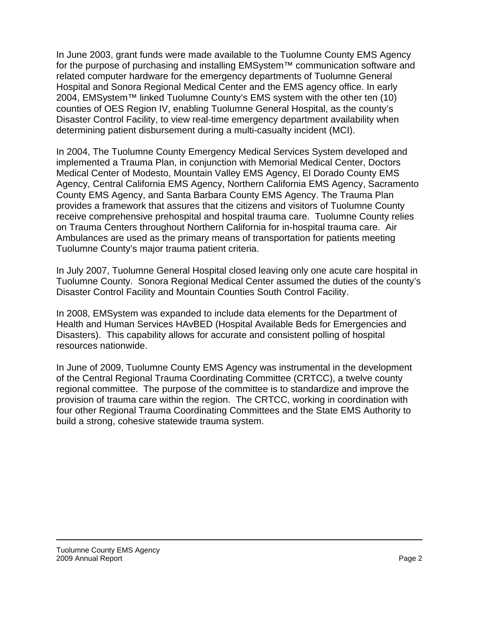In June 2003, grant funds were made available to the Tuolumne County EMS Agency for the purpose of purchasing and installing EMSystem™ communication software and related computer hardware for the emergency departments of Tuolumne General Hospital and Sonora Regional Medical Center and the EMS agency office. In early 2004, EMSystem™ linked Tuolumne County's EMS system with the other ten (10) counties of OES Region IV, enabling Tuolumne General Hospital, as the county's Disaster Control Facility, to view real-time emergency department availability when determining patient disbursement during a multi-casualty incident (MCI).

In 2004, The Tuolumne County Emergency Medical Services System developed and implemented a Trauma Plan, in conjunction with Memorial Medical Center, Doctors Medical Center of Modesto, Mountain Valley EMS Agency, El Dorado County EMS Agency, Central California EMS Agency, Northern California EMS Agency, Sacramento County EMS Agency, and Santa Barbara County EMS Agency. The Trauma Plan provides a framework that assures that the citizens and visitors of Tuolumne County receive comprehensive prehospital and hospital trauma care. Tuolumne County relies on Trauma Centers throughout Northern California for in-hospital trauma care. Air Ambulances are used as the primary means of transportation for patients meeting Tuolumne County's major trauma patient criteria.

In July 2007, Tuolumne General Hospital closed leaving only one acute care hospital in Tuolumne County. Sonora Regional Medical Center assumed the duties of the county's Disaster Control Facility and Mountain Counties South Control Facility.

In 2008, EMSystem was expanded to include data elements for the Department of Health and Human Services HAvBED (Hospital Available Beds for Emergencies and Disasters). This capability allows for accurate and consistent polling of hospital resources nationwide.

In June of 2009, Tuolumne County EMS Agency was instrumental in the development of the Central Regional Trauma Coordinating Committee (CRTCC), a twelve county regional committee. The purpose of the committee is to standardize and improve the provision of trauma care within the region. The CRTCC, working in coordination with four other Regional Trauma Coordinating Committees and the State EMS Authority to build a strong, cohesive statewide trauma system.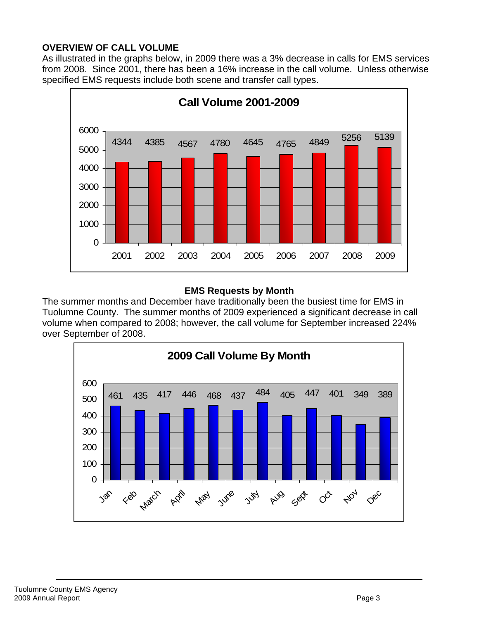#### **OVERVIEW OF CALL VOLUME**

As illustrated in the graphs below, in 2009 there was a 3% decrease in calls for EMS services from 2008. Since 2001, there has been a 16% increase in the call volume. Unless otherwise specified EMS requests include both scene and transfer call types.



#### **EMS Requests by Month**

The summer months and December have traditionally been the busiest time for EMS in Tuolumne County. The summer months of 2009 experienced a significant decrease in call volume when compared to 2008; however, the call volume for September increased 224% over September of 2008.

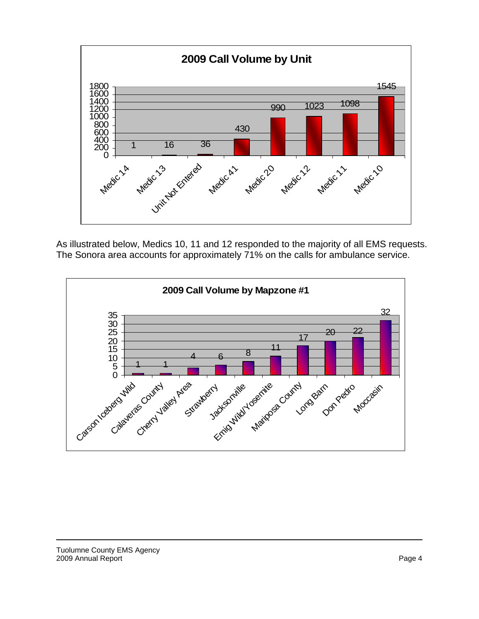

As illustrated below, Medics 10, 11 and 12 responded to the majority of all EMS requests. The Sonora area accounts for approximately 71% on the calls for ambulance service.

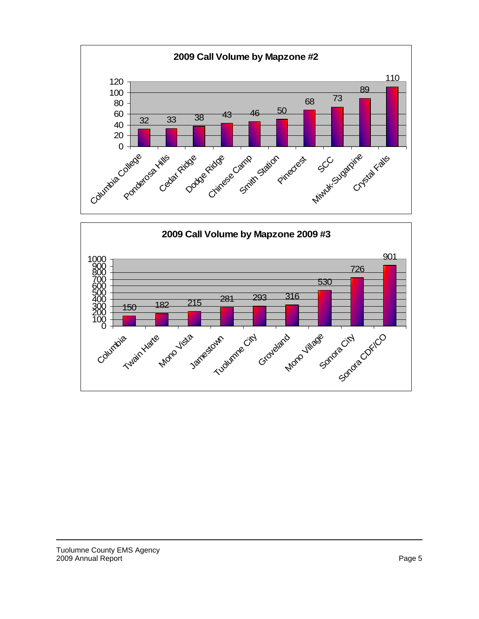

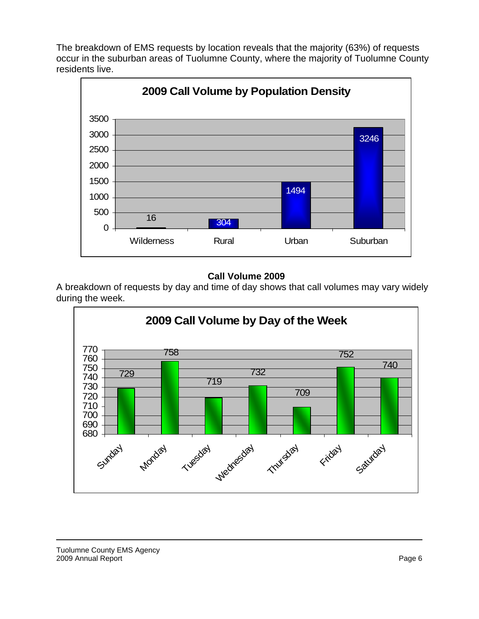The breakdown of EMS requests by location reveals that the majority (63%) of requests occur in the suburban areas of Tuolumne County, where the majority of Tuolumne County residents live.



#### **Call Volume 2009**

A breakdown of requests by day and time of day shows that call volumes may vary widely during the week.

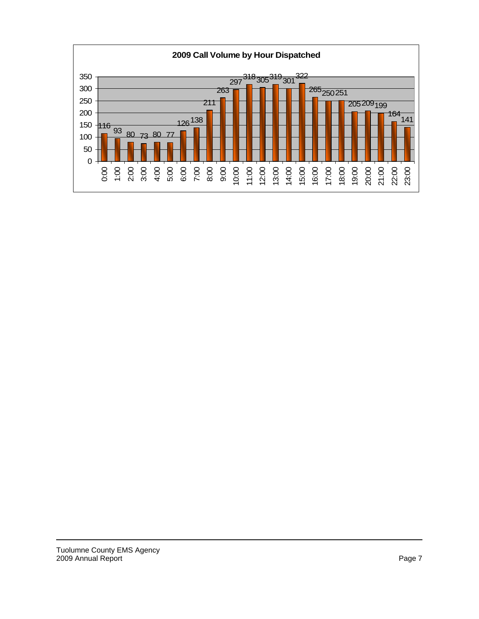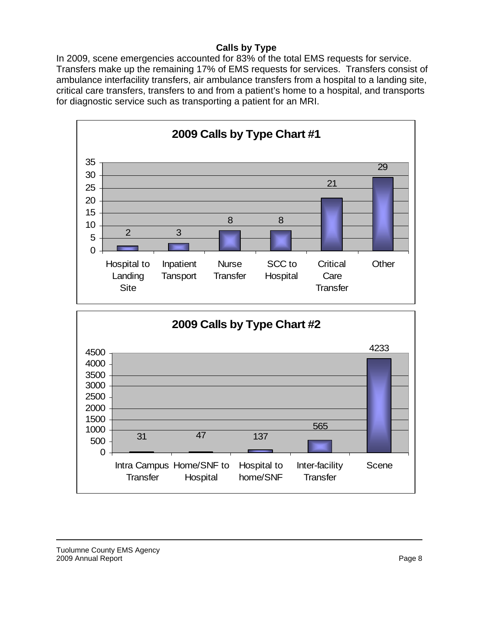## **Calls by Type**

In 2009, scene emergencies accounted for 83% of the total EMS requests for service. Transfers make up the remaining 17% of EMS requests for services. Transfers consist of ambulance interfacility transfers, air ambulance transfers from a hospital to a landing site, critical care transfers, transfers to and from a patient's home to a hospital, and transports for diagnostic service such as transporting a patient for an MRI.

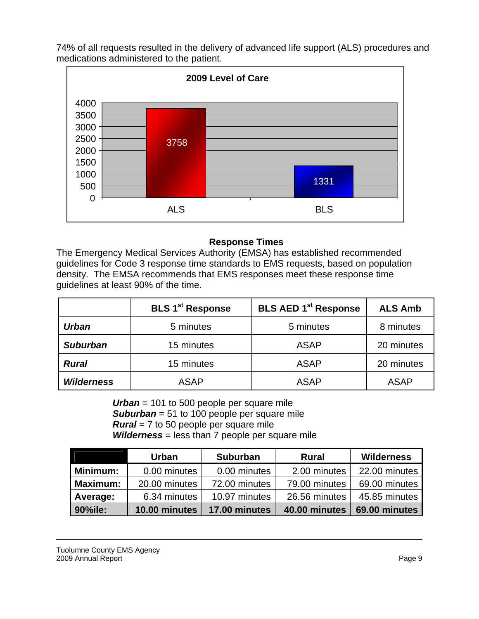74% of all requests resulted in the delivery of advanced life support (ALS) procedures and medications administered to the patient.



#### **Response Times**

The Emergency Medical Services Authority (EMSA) has established recommended guidelines for Code 3 response time standards to EMS requests, based on population density. The EMSA recommends that EMS responses meet these response time guidelines at least 90% of the time.

|                   | <b>BLS 1<sup>st</sup> Response</b> | <b>BLS AED 1st Response</b> | <b>ALS Amb</b> |
|-------------------|------------------------------------|-----------------------------|----------------|
| <b>Urban</b>      | 5 minutes                          | 5 minutes                   | 8 minutes      |
| <b>Suburban</b>   | 15 minutes                         | <b>ASAP</b>                 | 20 minutes     |
| <b>Rural</b>      | 15 minutes                         | <b>ASAP</b>                 | 20 minutes     |
| <b>Wilderness</b> | <b>ASAP</b>                        | <b>ASAP</b>                 | <b>ASAP</b>    |

*Urban* = 101 to 500 people per square mile *Suburban* = 51 to 100 people per square mile *Rural* = 7 to 50 people per square mile *Wilderness* = less than 7 people per square mile

|                 | <b>Urban</b>  | <b>Suburban</b> | <b>Rural</b>  | <b>Wilderness</b> |
|-----------------|---------------|-----------------|---------------|-------------------|
| Minimum:        | 0.00 minutes  | 0.00 minutes    | 2.00 minutes  | 22.00 minutes     |
| <b>Maximum:</b> | 20.00 minutes | 72.00 minutes   | 79.00 minutes | 69.00 minutes     |
| Average:        | 6.34 minutes  | 10.97 minutes   | 26.56 minutes | 45.85 minutes     |
| 90%ile:         | 10.00 minutes | 17.00 minutes   | 40.00 minutes | 69.00 minutes     |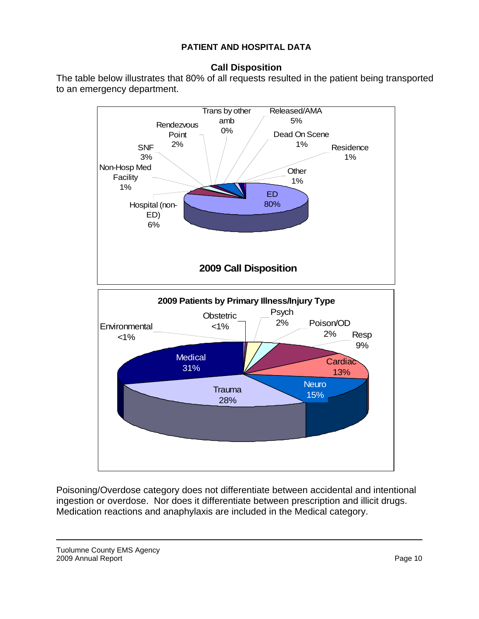#### **PATIENT AND HOSPITAL DATA**

#### **Call Disposition**

The table below illustrates that 80% of all requests resulted in the patient being transported to an emergency department.



Poisoning/Overdose category does not differentiate between accidental and intentional ingestion or overdose. Nor does it differentiate between prescription and illicit drugs. Medication reactions and anaphylaxis are included in the Medical category.

Tuolumne County EMS Agency 2009 Annual Report **Page 10** 2009 Annual Report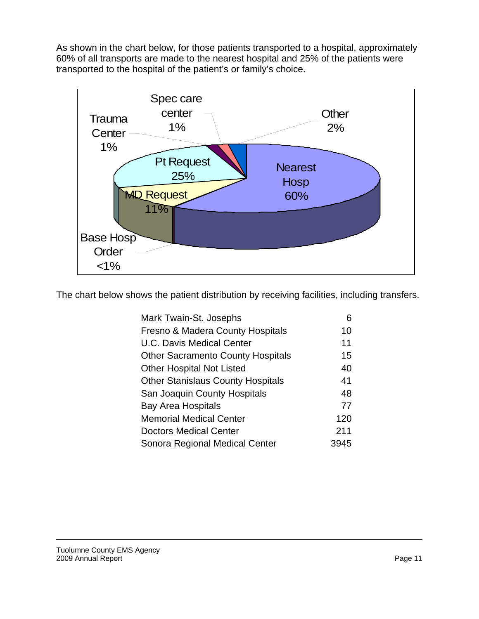As shown in the chart below, for those patients transported to a hospital, approximately 60% of all transports are made to the nearest hospital and 25% of the patients were transported to the hospital of the patient's or family's choice.



The chart below shows the patient distribution by receiving facilities, including transfers.

| Mark Twain-St. Josephs                   |      |
|------------------------------------------|------|
| Fresno & Madera County Hospitals         | 10   |
| <b>U.C. Davis Medical Center</b>         | 11   |
| <b>Other Sacramento County Hospitals</b> | 15   |
| <b>Other Hospital Not Listed</b>         | 40   |
| <b>Other Stanislaus County Hospitals</b> | 41   |
| San Joaquin County Hospitals             | 48   |
| <b>Bay Area Hospitals</b>                | 77   |
| <b>Memorial Medical Center</b>           | 120  |
| <b>Doctors Medical Center</b>            | 211  |
| Sonora Regional Medical Center           | 3945 |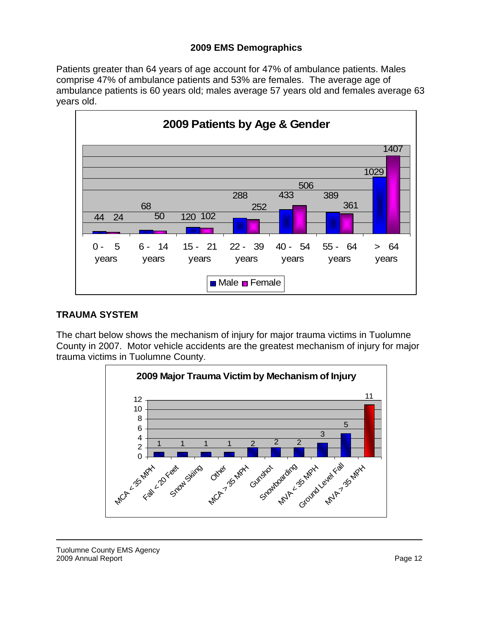#### **2009 EMS Demographics**

Patients greater than 64 years of age account for 47% of ambulance patients. Males comprise 47% of ambulance patients and 53% are females. The average age of ambulance patients is 60 years old; males average 57 years old and females average 63 years old.



#### **TRAUMA SYSTEM**

The chart below shows the mechanism of injury for major trauma victims in Tuolumne County in 2007. Motor vehicle accidents are the greatest mechanism of injury for major trauma victims in Tuolumne County.

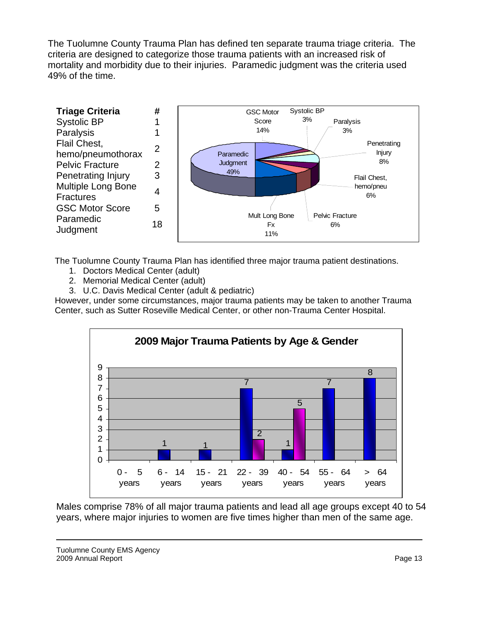The Tuolumne County Trauma Plan has defined ten separate trauma triage criteria. The criteria are designed to categorize those trauma patients with an increased risk of mortality and morbidity due to their injuries. Paramedic judgment was the criteria used 49% of the time.



The Tuolumne County Trauma Plan has identified three major trauma patient destinations.

- 
- 1. Doctors Medical Center (adult) 2. Memorial Medical Center (adult)
	- 3. U.C. Davis Medical Center (adult & pediatric)

However, under some circumstances, major trauma patients may be taken to another Trauma Center, such as Sutter Roseville Medical Center, or other non-Trauma Center Hospital.



Males comprise 78% of all major trauma patients and lead all age groups except 40 to 54 years, where major injuries to women are five times higher than men of the same age.

Tuolumne County EMS Agency 2009 Annual Report Page 13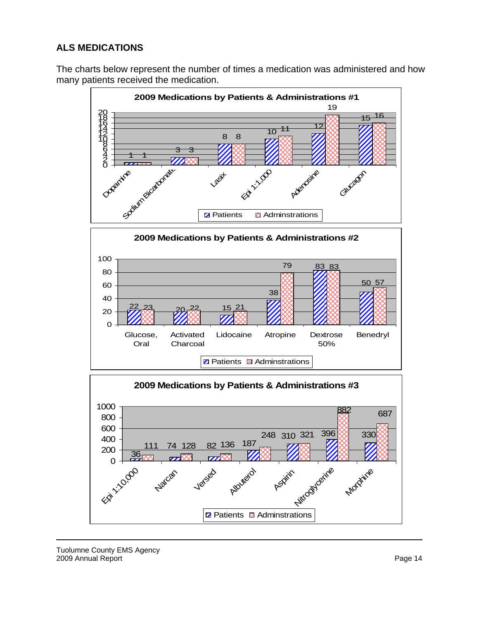# **ALS MEDICATIONS**

The charts below represent the number of times a medication was administered and how many patients received the medication.



Epi 1:10,000

Natcar

Versed

Albuterol

**Z** Patients **Q** Adminstrations

Aspirin Modycerine

**Morphine**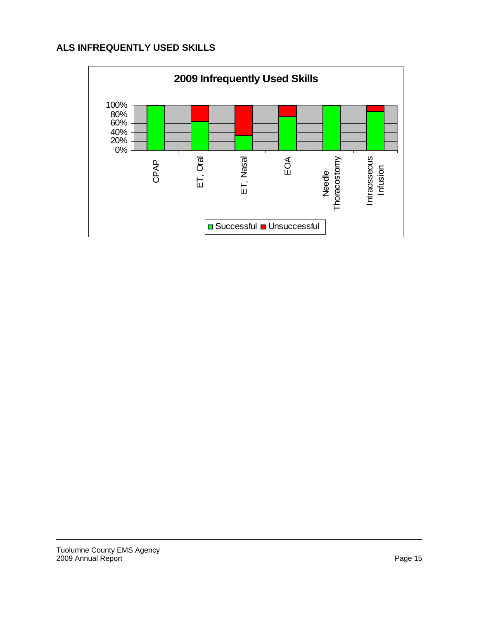#### **ALS INFREQUENTLY USED SKILLS**